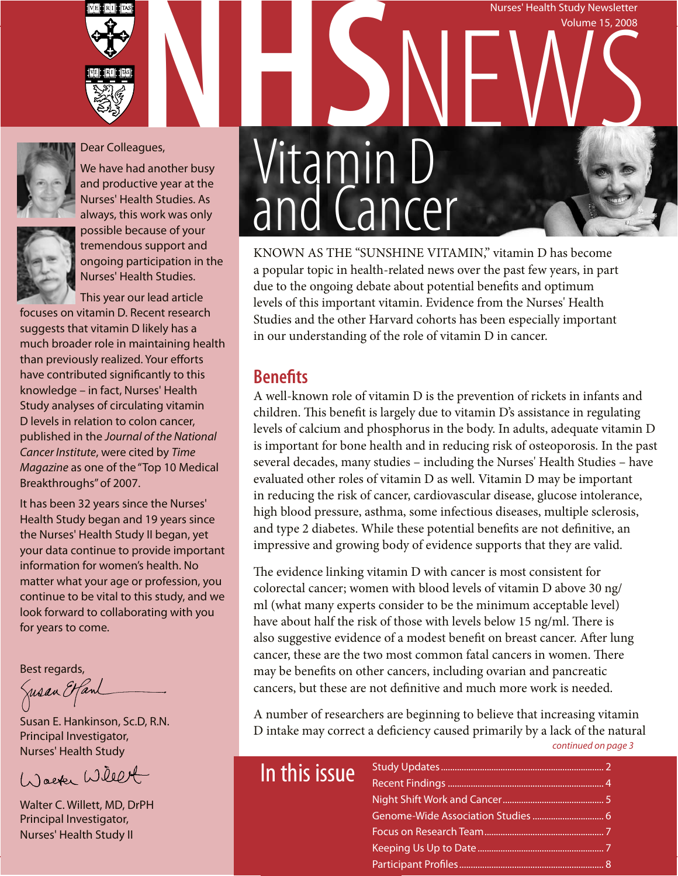





### Dear Colleagues,

We have had another busy and productive year at the Nurses' Health Studies. As always, this work was only



possible because of your tremendous support and ongoing participation in the Nurses' Health Studies.

This year our lead article focuses on vitamin D. Recent research suggests that vitamin D likely has a much broader role in maintaining health than previously realized. Your efforts have contributed significantly to this knowledge – in fact, Nurses' Health Study analyses of circulating vitamin D levels in relation to colon cancer, published in the *Journal of the National Cancer Institute*, were cited by *Time Magazine* as one of the "Top 10 Medical Breakthroughs" of 2007.

It has been 32 years since the Nurses' Health Study began and 19 years since the Nurses' Health Study II began, yet your data continue to provide important information for women's health. No matter what your age or profession, you continue to be vital to this study, and we look forward to collaborating with you for years to come.

Best regards,

Jusan Etfanl

Susan E. Hankinson, Sc.D, R.N. Principal Investigator, Nurses' Health Study

Waeter Willet

Walter C. Willett, MD, DrPH Principal Investigator, Nurses' Health Study II

## Nurses' Health Study Newsletter Nurses' Health Study Newsletter<br>Volume 15, 2008<br>gues,<br>Vitamin D Volume 15, 2008 Vitamin D and Cancer

KNOWN AS THE "SUNSHINE VITAMIN," vitamin D has become a popular topic in health-related news over the past few years, in part due to the ongoing debate about potential benefits and optimum levels of this important vitamin. Evidence from the Nurses' Health Studies and the other Harvard cohorts has been especially important in our understanding of the role of vitamin D in cancer.

### **Benefits**

A well-known role of vitamin D is the prevention of rickets in infants and children. This benefit is largely due to vitamin D's assistance in regulating levels of calcium and phosphorus in the body. In adults, adequate vitamin D is important for bone health and in reducing risk of osteoporosis. In the past several decades, many studies – including the Nurses' Health Studies – have evaluated other roles of vitamin D as well. Vitamin D may be important in reducing the risk of cancer, cardiovascular disease, glucose intolerance, high blood pressure, asthma, some infectious diseases, multiple sclerosis, and type 2 diabetes. While these potential benefits are not definitive, an impressive and growing body of evidence supports that they are valid.

The evidence linking vitamin D with cancer is most consistent for colorectal cancer; women with blood levels of vitamin D above 30 ng/ ml (what many experts consider to be the minimum acceptable level) have about half the risk of those with levels below 15 ng/ml. There is also suggestive evidence of a modest benefit on breast cancer. After lung cancer, these are the two most common fatal cancers in women. There may be benefits on other cancers, including ovarian and pancreatic cancers, but these are not definitive and much more work is needed.

A number of researchers are beginning to believe that increasing vitamin D intake may correct a deficiency caused primarily by a lack of the natural *continued on page 3*

| In this issue |  |
|---------------|--|
|               |  |
|               |  |
|               |  |
|               |  |
|               |  |
|               |  |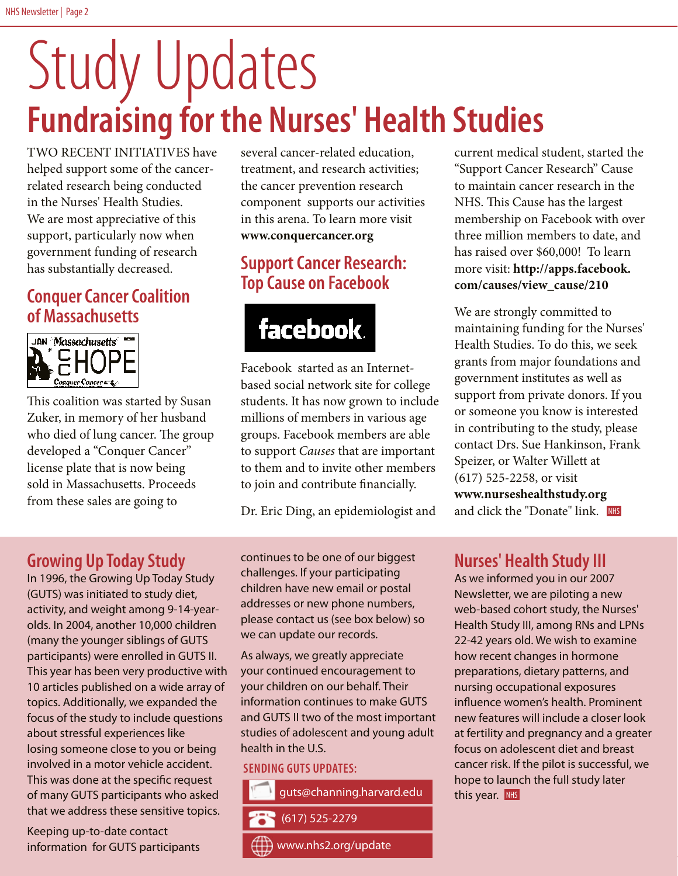# **Fundraising for the Nurses' Health Studies** Study Updates

TWO RECENT INITIATIVES have helped support some of the cancerrelated research being conducted in the Nurses' Health Studies. We are most appreciative of this support, particularly now when government funding of research has substantially decreased.

### **Conquer Cancer Coalition of Massachusetts**



This coalition was started by Susan Zuker, in memory of her husband who died of lung cancer. The group developed a "Conquer Cancer" license plate that is now being sold in Massachusetts. Proceeds from these sales are going to

several cancer-related education, treatment, and research activities; the cancer prevention research component supports our activities in this arena. To learn more visit **www.conquercancer.org**

### **Support Cancer Research: Top Cause on Facebook**



Facebook started as an Internetbased social network site for college students. It has now grown to include millions of members in various age groups. Facebook members are able to support *Causes* that are important to them and to invite other members to join and contribute financially.

Dr. Eric Ding, an epidemiologist and

### **Growing Up Today Study**

In 1996, the Growing Up Today Study (GUTS) was initiated to study diet, activity, and weight among 9-14-yearolds. In 2004, another 10,000 children (many the younger siblings of GUTS participants) were enrolled in GUTS II. This year has been very productive with 10 articles published on a wide array of topics. Additionally, we expanded the focus of the study to include questions about stressful experiences like losing someone close to you or being involved in a motor vehicle accident. This was done at the specific request of many GUTS participants who asked that we address these sensitive topics.

Keeping up-to-date contact information for GUTS participants

continues to be one of our biggest challenges. If your participating children have new email or postal addresses or new phone numbers, please contact us (see box below) so we can update our records.

As always, we greatly appreciate your continued encouragement to your children on our behalf. Their information continues to make GUTS and GUTS II two of the most important studies of adolescent and young adult health in the U.S.

### **Sending GUTS Updates:**



current medical student, started the "Support Cancer Research" Cause to maintain cancer research in the NHS. This Cause has the largest membership on Facebook with over three million members to date, and has raised over \$60,000! To learn more visit: **http://apps.facebook. com/causes/view\_cause/210**

We are strongly committed to maintaining funding for the Nurses' Health Studies. To do this, we seek grants from major foundations and government institutes as well as support from private donors. If you or someone you know is interested in contributing to the study, please contact Drs. Sue Hankinson, Frank Speizer, or Walter Willett at (617) 525-2258, or visit **www.nurseshealthstudy.org**  and click the "Donate" link. I<mark>NHS</mark>

### **Nurses' Health Study III**

As we informed you in our 2007 Newsletter, we are piloting a new web-based cohort study, the Nurses' Health Study III, among RNs and LPNs 22-42 years old. We wish to examine how recent changes in hormone preparations, dietary patterns, and nursing occupational exposures influence women's health. Prominent new features will include a closer look at fertility and pregnancy and a greater focus on adolescent diet and breast cancer risk. If the pilot is successful, we hope to launch the full study later this year. NHS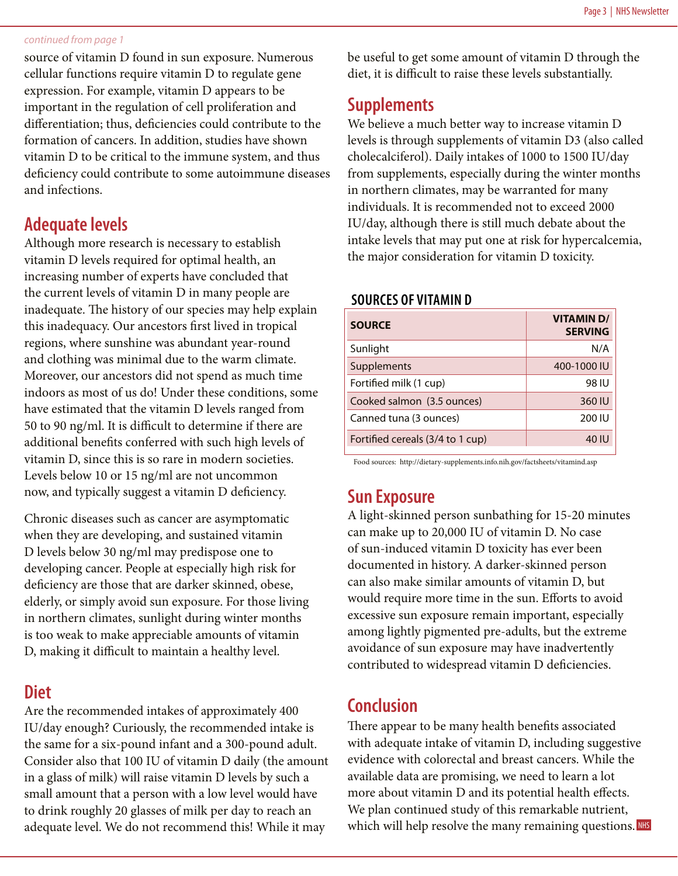#### *continued from page 1*

source of vitamin D found in sun exposure. Numerous cellular functions require vitamin D to regulate gene expression. For example, vitamin D appears to be important in the regulation of cell proliferation and differentiation; thus, deficiencies could contribute to the formation of cancers. In addition, studies have shown vitamin D to be critical to the immune system, and thus deficiency could contribute to some autoimmune diseases and infections.

### **Adequate levels**

Although more research is necessary to establish vitamin D levels required for optimal health, an increasing number of experts have concluded that the current levels of vitamin D in many people are inadequate. The history of our species may help explain this inadequacy. Our ancestors first lived in tropical regions, where sunshine was abundant year-round and clothing was minimal due to the warm climate. Moreover, our ancestors did not spend as much time indoors as most of us do! Under these conditions, some have estimated that the vitamin D levels ranged from 50 to 90 ng/ml. It is difficult to determine if there are additional benefits conferred with such high levels of vitamin D, since this is so rare in modern societies. Levels below 10 or 15 ng/ml are not uncommon now, and typically suggest a vitamin D deficiency.

Chronic diseases such as cancer are asymptomatic when they are developing, and sustained vitamin D levels below 30 ng/ml may predispose one to developing cancer. People at especially high risk for deficiency are those that are darker skinned, obese, elderly, or simply avoid sun exposure. For those living in northern climates, sunlight during winter months is too weak to make appreciable amounts of vitamin D, making it difficult to maintain a healthy level.

### **Diet**

Are the recommended intakes of approximately 400 IU/day enough? Curiously, the recommended intake is the same for a six-pound infant and a 300-pound adult. Consider also that 100 IU of vitamin D daily (the amount in a glass of milk) will raise vitamin D levels by such a small amount that a person with a low level would have to drink roughly 20 glasses of milk per day to reach an adequate level. We do not recommend this! While it may

be useful to get some amount of vitamin D through the diet, it is difficult to raise these levels substantially.

### **Supplements**

We believe a much better way to increase vitamin D levels is through supplements of vitamin D3 (also called cholecalciferol). Daily intakes of 1000 to 1500 IU/day from supplements, especially during the winter months in northern climates, may be warranted for many individuals. It is recommended not to exceed 2000 IU/day, although there is still much debate about the intake levels that may put one at risk for hypercalcemia, the major consideration for vitamin D toxicity.

### **Sources of Vitamin D**

| <b>SOURCE</b>                    | <b>VITAMIND/</b><br><b>SERVING</b> |
|----------------------------------|------------------------------------|
| Sunlight                         | N/A                                |
| Supplements                      | 400-1000 IU                        |
| Fortified milk (1 cup)           | 98 IU                              |
| Cooked salmon (3.5 ounces)       | 360 IU                             |
| Canned tuna (3 ounces)           | 200 IU                             |
| Fortified cereals (3/4 to 1 cup) | 40 IU                              |

Food sources: http://dietary-supplements.info.nih.gov/factsheets/vitamind.asp

### **Sun Exposure**

A light-skinned person sunbathing for 15-20 minutes can make up to 20,000 IU of vitamin D. No case of sun-induced vitamin D toxicity has ever been documented in history. A darker-skinned person can also make similar amounts of vitamin D, but would require more time in the sun. Efforts to avoid excessive sun exposure remain important, especially among lightly pigmented pre-adults, but the extreme avoidance of sun exposure may have inadvertently contributed to widespread vitamin D deficiencies.

### **Conclusion**

There appear to be many health benefits associated with adequate intake of vitamin D, including suggestive evidence with colorectal and breast cancers. While the available data are promising, we need to learn a lot more about vitamin D and its potential health effects. We plan continued study of this remarkable nutrient, which will help resolve the many remaining questions. NHS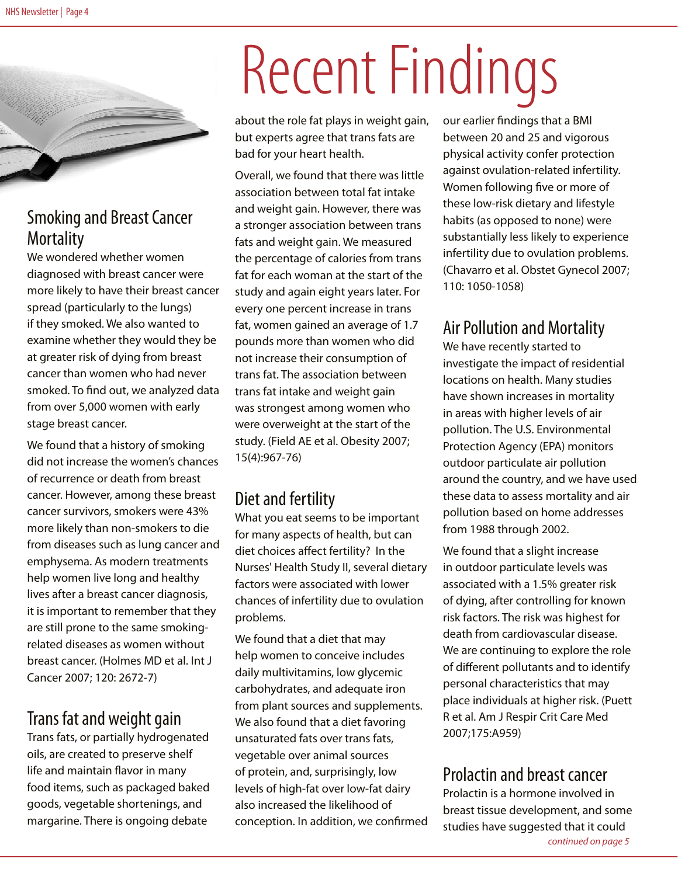

### Smoking and Breast Cancer **Mortality**

We wondered whether women diagnosed with breast cancer were more likely to have their breast cancer spread (particularly to the lungs) if they smoked. We also wanted to examine whether they would they be at greater risk of dying from breast cancer than women who had never smoked. To find out, we analyzed data from over 5,000 women with early stage breast cancer.

We found that a history of smoking did not increase the women's chances of recurrence or death from breast cancer. However, among these breast cancer survivors, smokers were 43% more likely than non-smokers to die from diseases such as lung cancer and emphysema. As modern treatments help women live long and healthy lives after a breast cancer diagnosis, it is important to remember that they are still prone to the same smokingrelated diseases as women without breast cancer. (Holmes MD et al. Int J Cancer 2007; 120: 2672-7)

### Trans fat and weight gain

Trans fats, or partially hydrogenated oils, are created to preserve shelf life and maintain flavor in many food items, such as packaged baked goods, vegetable shortenings, and margarine. There is ongoing debate

# Recent Findings

about the role fat plays in weight gain, but experts agree that trans fats are bad for your heart health.

Overall, we found that there was little association between total fat intake and weight gain. However, there was a stronger association between trans fats and weight gain. We measured the percentage of calories from trans fat for each woman at the start of the study and again eight years later. For every one percent increase in trans fat, women gained an average of 1.7 pounds more than women who did not increase their consumption of trans fat. The association between trans fat intake and weight gain was strongest among women who were overweight at the start of the study. (Field AE et al. Obesity 2007; 15(4):967-76)

### Diet and fertility

What you eat seems to be important for many aspects of health, but can diet choices affect fertility? In the Nurses' Health Study II, several dietary factors were associated with lower chances of infertility due to ovulation problems.

We found that a diet that may help women to conceive includes daily multivitamins, low glycemic carbohydrates, and adequate iron from plant sources and supplements. We also found that a diet favoring unsaturated fats over trans fats, vegetable over animal sources of protein, and, surprisingly, low levels of high-fat over low-fat dairy also increased the likelihood of conception. In addition, we confirmed our earlier findings that a BMI between 20 and 25 and vigorous physical activity confer protection against ovulation-related infertility. Women following five or more of these low-risk dietary and lifestyle habits (as opposed to none) were substantially less likely to experience infertility due to ovulation problems. (Chavarro et al. Obstet Gynecol 2007; 110: 1050-1058)

### Air Pollution and Mortality

We have recently started to investigate the impact of residential locations on health. Many studies have shown increases in mortality in areas with higher levels of air pollution. The U.S. Environmental Protection Agency (EPA) monitors outdoor particulate air pollution around the country, and we have used these data to assess mortality and air pollution based on home addresses from 1988 through 2002.

We found that a slight increase in outdoor particulate levels was associated with a 1.5% greater risk of dying, after controlling for known risk factors. The risk was highest for death from cardiovascular disease. We are continuing to explore the role of different pollutants and to identify personal characteristics that may place individuals at higher risk. (Puett R et al. Am J Respir Crit Care Med 2007;175:A959)

### Prolactin and breast cancer

Prolactin is a hormone involved in breast tissue development, and some studies have suggested that it could *continued on page 5*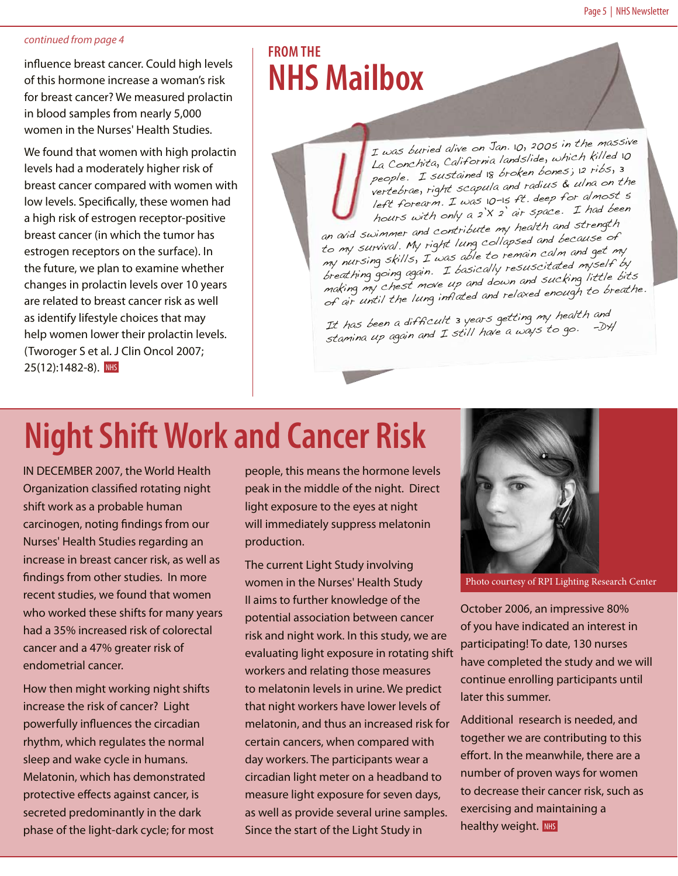#### *continued from page 4*

influence breast cancer. Could high levels of this hormone increase a woman's risk for breast cancer? We measured prolactin in blood samples from nearly 5,000 women in the Nurses' Health Studies.

We found that women with high prolactin levels had a moderately higher risk of breast cancer compared with women with low levels. Specifically, these women had a high risk of estrogen receptor-positive breast cancer (in which the tumor has estrogen receptors on the surface). In the future, we plan to examine whether changes in prolactin levels over 10 years are related to breast cancer risk as well as identify lifestyle choices that may help women lower their prolactin levels. (Tworoger S et al. J Clin Oncol 2007; 25(12):1482-8). NHS

### **From the NHS Mailbox**

I was buried alive on Jan. 10, 2005 in the massive La Conchita, California landslide, which killed 10 people. I sustained 18 broken bones; 12 ribs, 3 vertebrae, right scapula and radius & ulna on the left forearm. I was 10-15 ft. deep for almost 5 hours with only a 2'X 2' air space. I had been

an avid swimmer and contribute my health and strength to my survival. My right lung collapsed and because of my nursing skills, I was able to remain calm and get my breathing going again. I basically resuscitated myself by making my chest move up and down and sucking little bits of air until the lung inflated and relaxed enough to breathe.

It has been a difficult 3 years getting my health and stamina up again and I still have a ways to go. -DH

## **Night Shift Work and Cancer Risk**

IN DECEMBER 2007, the World Health Organization classified rotating night shift work as a probable human carcinogen, noting findings from our Nurses' Health Studies regarding an increase in breast cancer risk, as well as findings from other studies. In more recent studies, we found that women who worked these shifts for many years had a 35% increased risk of colorectal cancer and a 47% greater risk of endometrial cancer.

How then might working night shifts increase the risk of cancer? Light powerfully influences the circadian rhythm, which regulates the normal sleep and wake cycle in humans. Melatonin, which has demonstrated protective effects against cancer, is secreted predominantly in the dark phase of the light-dark cycle; for most

people, this means the hormone levels peak in the middle of the night. Direct light exposure to the eyes at night will immediately suppress melatonin production.

The current Light Study involving women in the Nurses' Health Study II aims to further knowledge of the potential association between cancer risk and night work. In this study, we are evaluating light exposure in rotating shift workers and relating those measures to melatonin levels in urine. We predict that night workers have lower levels of melatonin, and thus an increased risk for certain cancers, when compared with day workers. The participants wear a circadian light meter on a headband to measure light exposure for seven days, as well as provide several urine samples. Since the start of the Light Study in



Photo courtesy of RPI Lighting Research Center

October 2006, an impressive 80% of you have indicated an interest in participating! To date, 130 nurses have completed the study and we will continue enrolling participants until later this summer.

healthy weight. NHS Additional research is needed, and together we are contributing to this effort. In the meanwhile, there are a number of proven ways for women to decrease their cancer risk, such as exercising and maintaining a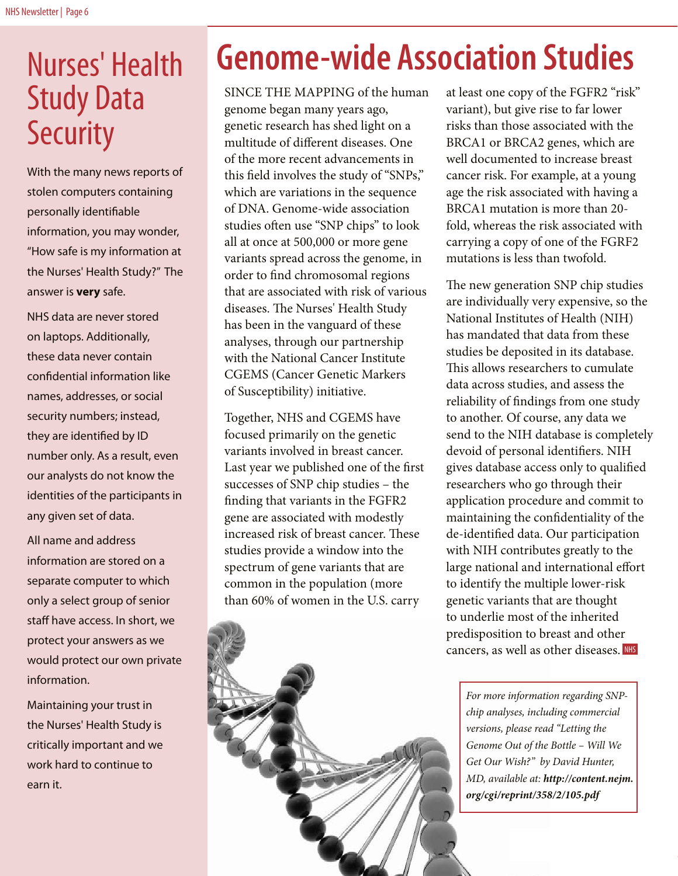### Nurses' Health Study Data **Security**

With the many news reports of stolen computers containing personally identifiable information, you may wonder, "How safe is my information at the Nurses' Health Study?" The answer is **very** safe.

NHS data are never stored on laptops. Additionally, these data never contain confidential information like names, addresses, or social security numbers; instead, they are identified by ID number only. As a result, even our analysts do not know the identities of the participants in any given set of data.

All name and address information are stored on a separate computer to which only a select group of senior staff have access. In short, we protect your answers as we would protect our own private information.

Maintaining your trust in the Nurses' Health Study is critically important and we work hard to continue to earn it.

## **Genome-wide Association Studies**

SINCE THE MAPPING of the human genome began many years ago, genetic research has shed light on a multitude of different diseases. One of the more recent advancements in this field involves the study of "SNPs," which are variations in the sequence of DNA. Genome-wide association studies often use "SNP chips" to look all at once at 500,000 or more gene variants spread across the genome, in order to find chromosomal regions that are associated with risk of various diseases. The Nurses' Health Study has been in the vanguard of these analyses, through our partnership with the National Cancer Institute CGEMS (Cancer Genetic Markers of Susceptibility) initiative.

Together, NHS and CGEMS have focused primarily on the genetic variants involved in breast cancer. Last year we published one of the first successes of SNP chip studies – the finding that variants in the FGFR2 gene are associated with modestly increased risk of breast cancer. These studies provide a window into the spectrum of gene variants that are common in the population (more than 60% of women in the U.S. carry

at least one copy of the FGFR2 "risk" variant), but give rise to far lower risks than those associated with the BRCA1 or BRCA2 genes, which are well documented to increase breast cancer risk. For example, at a young age the risk associated with having a BRCA1 mutation is more than 20 fold, whereas the risk associated with carrying a copy of one of the FGRF2 mutations is less than twofold.

The new generation SNP chip studies are individually very expensive, so the National Institutes of Health (NIH) has mandated that data from these studies be deposited in its database. This allows researchers to cumulate data across studies, and assess the reliability of findings from one study to another. Of course, any data we send to the NIH database is completely devoid of personal identifiers. NIH gives database access only to qualified researchers who go through their application procedure and commit to maintaining the confidentiality of the de-identified data. Our participation with NIH contributes greatly to the large national and international effort to identify the multiple lower-risk genetic variants that are thought to underlie most of the inherited predisposition to breast and other cancers, as well as other diseases. NHS

*For more information regarding SNPchip analyses, including commercial versions, please read "Letting the Genome Out of the Bottle – Will We Get Our Wish?" by David Hunter, MD, available at: http://content.nejm. org/cgi/reprint/358/2/105.pdf*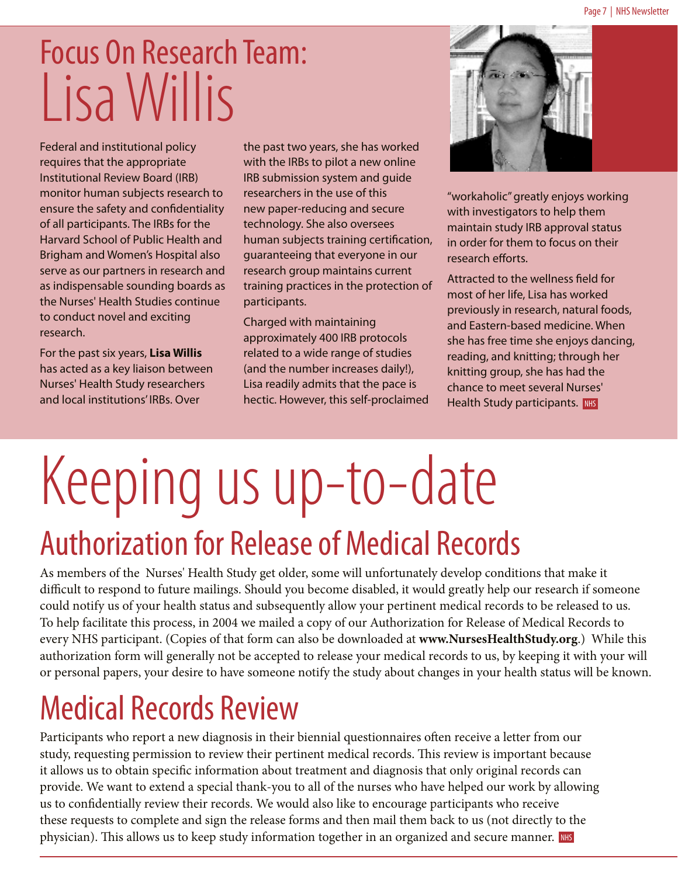## Focus On Research Team: Lisa Willis

Federal and institutional policy requires that the appropriate Institutional Review Board (IRB) monitor human subjects research to ensure the safety and confidentiality of all participants. The IRBs for the Harvard School of Public Health and Brigham and Women's Hospital also serve as our partners in research and as indispensable sounding boards as the Nurses' Health Studies continue to conduct novel and exciting research.

For the past six years, **Lisa Willis**  has acted as a key liaison between Nurses' Health Study researchers and local institutions' IRBs. Over

the past two years, she has worked with the IRBs to pilot a new online IRB submission system and guide researchers in the use of this new paper-reducing and secure technology. She also oversees human subjects training certification, guaranteeing that everyone in our research group maintains current training practices in the protection of participants.

Charged with maintaining approximately 400 IRB protocols related to a wide range of studies (and the number increases daily!), Lisa readily admits that the pace is hectic. However, this self-proclaimed



"workaholic" greatly enjoys working with investigators to help them maintain study IRB approval status in order for them to focus on their research efforts.

Attracted to the wellness field for most of her life, Lisa has worked previously in research, natural foods, and Eastern-based medicine. When she has free time she enjoys dancing, reading, and knitting; through her knitting group, she has had the chance to meet several Nurses' Health Study participants. NHS

# Authorization for Release of Medical Records Keeping us up-to-date

As members of the Nurses' Health Study get older, some will unfortunately develop conditions that make it difficult to respond to future mailings. Should you become disabled, it would greatly help our research if someone could notify us of your health status and subsequently allow your pertinent medical records to be released to us. To help facilitate this process, in 2004 we mailed a copy of our Authorization for Release of Medical Records to every NHS participant. (Copies of that form can also be downloaded at **www.NursesHealthStudy.org**.) While this authorization form will generally not be accepted to release your medical records to us, by keeping it with your will or personal papers, your desire to have someone notify the study about changes in your health status will be known.

### Medical Records Review

Participants who report a new diagnosis in their biennial questionnaires often receive a letter from our study, requesting permission to review their pertinent medical records. This review is important because it allows us to obtain specific information about treatment and diagnosis that only original records can provide. We want to extend a special thank-you to all of the nurses who have helped our work by allowing us to confidentially review their records. We would also like to encourage participants who receive these requests to complete and sign the release forms and then mail them back to us (not directly to the physician). This allows us to keep study information together in an organized and secure manner. NHS